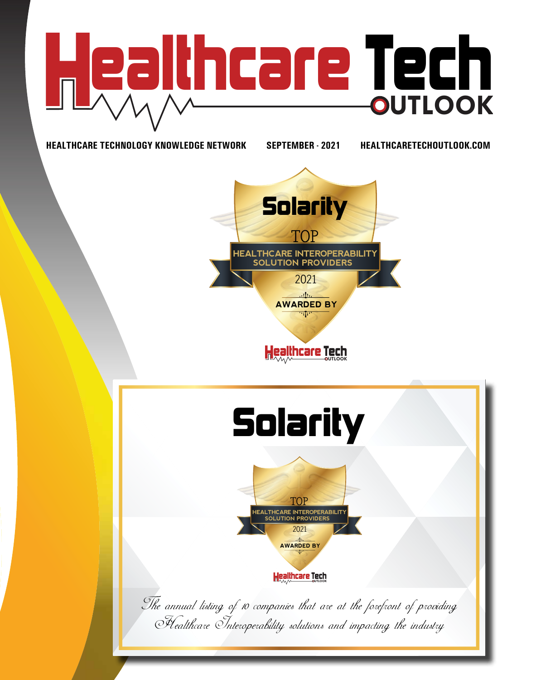

**HEALTHCARE TECHNOLOGY KNOWLEDGE NETWORK SEPTEMBER - 2021 HEALTHCARETECHOUTLOOK.COM**